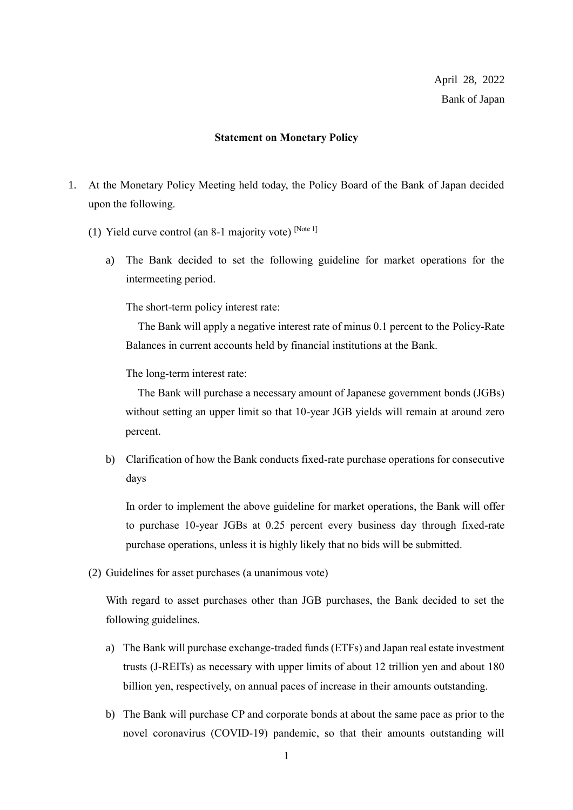## **Statement on Monetary Policy**

- 1. At the Monetary Policy Meeting held today, the Policy Board of the Bank of Japan decided upon the following.
	- (1) Yield curve control (an 8-1 majority vote)  $[Note 1]$ 
		- a) The Bank decided to set the following guideline for market operations for the intermeeting period.

The short-term policy interest rate:

The Bank will apply a negative interest rate of minus 0.1 percent to the Policy-Rate Balances in current accounts held by financial institutions at the Bank.

The long-term interest rate:

The Bank will purchase a necessary amount of Japanese government bonds (JGBs) without setting an upper limit so that 10-year JGB yields will remain at around zero percent.

b) Clarification of how the Bank conducts fixed-rate purchase operations for consecutive days

In order to implement the above guideline for market operations, the Bank will offer to purchase 10-year JGBs at 0.25 percent every business day through fixed-rate purchase operations, unless it is highly likely that no bids will be submitted.

(2) Guidelines for asset purchases (a unanimous vote)

With regard to asset purchases other than JGB purchases, the Bank decided to set the following guidelines.

- a) The Bank will purchase exchange-traded funds (ETFs) and Japan real estate investment trusts (J-REITs) as necessary with upper limits of about 12 trillion yen and about 180 billion yen, respectively, on annual paces of increase in their amounts outstanding.
- b) The Bank will purchase CP and corporate bonds at about the same pace as prior to the novel coronavirus (COVID-19) pandemic, so that their amounts outstanding will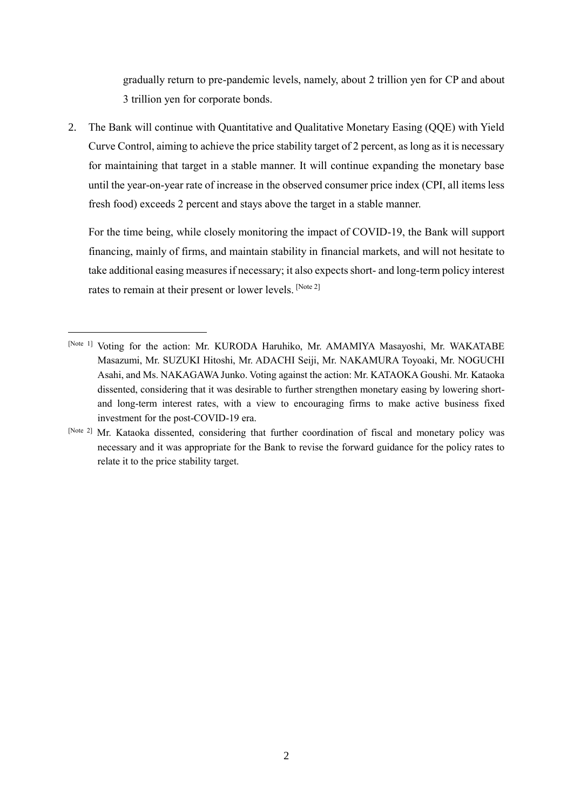gradually return to pre-pandemic levels, namely, about 2 trillion yen for CP and about 3 trillion yen for corporate bonds.

2. The Bank will continue with Quantitative and Qualitative Monetary Easing (QQE) with Yield Curve Control, aiming to achieve the price stability target of 2 percent, as long as it is necessary for maintaining that target in a stable manner. It will continue expanding the monetary base until the year-on-year rate of increase in the observed consumer price index (CPI, all items less fresh food) exceeds 2 percent and stays above the target in a stable manner.

For the time being, while closely monitoring the impact of COVID-19, the Bank will support financing, mainly of firms, and maintain stability in financial markets, and will not hesitate to take additional easing measures if necessary; it also expects short- and long-term policy interest rates to remain at their present or lower levels. [Note 2]

<sup>[</sup>Note 1] Voting for the action: Mr. KURODA Haruhiko, Mr. AMAMIYA Masayoshi, Mr. WAKATABE Masazumi, Mr. SUZUKI Hitoshi, Mr. ADACHI Seiji, Mr. NAKAMURA Toyoaki, Mr. NOGUCHI Asahi, and Ms. NAKAGAWA Junko. Voting against the action: Mr. KATAOKA Goushi. Mr. Kataoka dissented, considering that it was desirable to further strengthen monetary easing by lowering shortand long-term interest rates, with a view to encouraging firms to make active business fixed investment for the post-COVID-19 era.

<sup>[</sup>Note 2] Mr. Kataoka dissented, considering that further coordination of fiscal and monetary policy was necessary and it was appropriate for the Bank to revise the forward guidance for the policy rates to relate it to the price stability target.